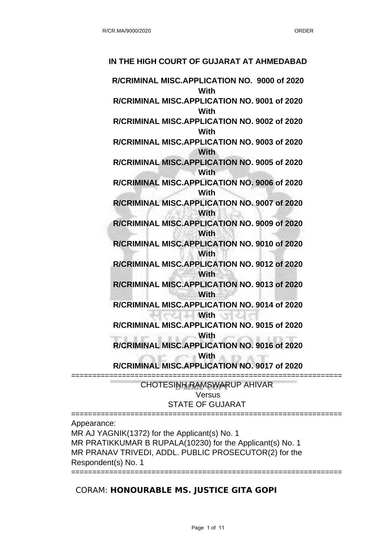# **R/CRIMINAL MISC.APPLICATION NO. 9000 of 2020 With R/CRIMINAL MISC.APPLICATION NO. 9001 of 2020 With R/CRIMINAL MISC.APPLICATION NO. 9002 of 2020 With R/CRIMINAL MISC.APPLICATION NO. 9003 of 2020 With R/CRIMINAL MISC.APPLICATION NO. 9005 of 2020 With R/CRIMINAL MISC.APPLICATION NO. 9006 of 2020 With R/CRIMINAL MISC.APPLICATION NO. 9007 of 2020 With R/CRIMINAL MISC.APPLICATION NO. 9009 of 2020 With R/CRIMINAL MISC.APPLICATION NO. 9010 of 2020 With R/CRIMINAL MISC.APPLICATION NO. 9012 of 2020 With R/CRIMINAL MISC.APPLICATION NO. 9013 of 2020 With R/CRIMINAL MISC.APPLICATION NO. 9014 of 2020 With R/CRIMINAL MISC.APPLICATION NO. 9015 of 2020 With R/CRIMINAL MISC.APPLICATION NO. 9016 of 2020 With R/CRIMINAL MISC.APPLICATION NO. 9017 of 2020** ================================================================

**IN THE HIGH COURT OF GUJARAT AT AHMEDABAD**

CHOTESINH RAMSWARUP AHIVAR Versus STATE OF GUJARAT

================================================================

Appearance:

MR AJ YAGNIK(1372) for the Applicant(s) No. 1 MR PRATIKKUMAR B RUPALA(10230) for the Applicant(s) No. 1 MR PRANAV TRIVEDI, ADDL. PUBLIC PROSECUTOR(2) for the Respondent(s) No. 1

## CORAM: **HONOURABLE MS. JUSTICE GITA GOPI**

================================================================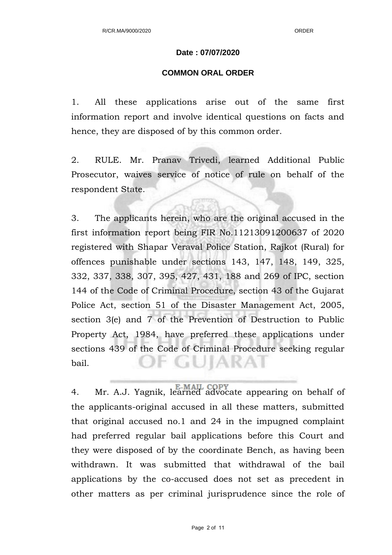#### **Date : 07/07/2020**

#### **COMMON ORAL ORDER**

1. All these applications arise out of the same first information report and involve identical questions on facts and hence, they are disposed of by this common order.

2. RULE. Mr. Pranav Trivedi, learned Additional Public Prosecutor, waives service of notice of rule on behalf of the respondent State.

3. The applicants herein, who are the original accused in the first information report being FIR No.11213091200637 of 2020 registered with Shapar Veraval Police Station, Rajkot (Rural) for offences punishable under sections 143, 147, 148, 149, 325, 332, 337, 338, 307, 395, 427, 431, 188 and 269 of IPC, section 144 of the Code of Criminal Procedure, section 43 of the Gujarat Police Act, section 51 of the Disaster Management Act, 2005, section 3(e) and 7 of the Prevention of Destruction to Public Property Act, 1984, have preferred these applications under sections 439 of the Code of Criminal Procedure seeking regular F GUIARAI bail.

4. Mr. A.J. Yagnik, learned advocate appearing on behalf of the applicants-original accused in all these matters, submitted that original accused no.1 and 24 in the impugned complaint had preferred regular bail applications before this Court and they were disposed of by the coordinate Bench, as having been withdrawn. It was submitted that withdrawal of the bail applications by the co-accused does not set as precedent in other matters as per criminal jurisprudence since the role of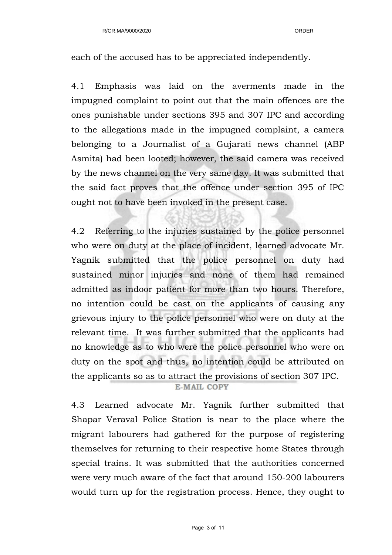each of the accused has to be appreciated independently.

4.1 Emphasis was laid on the averments made in the impugned complaint to point out that the main offences are the ones punishable under sections 395 and 307 IPC and according to the allegations made in the impugned complaint, a camera belonging to a Journalist of a Gujarati news channel (ABP Asmita) had been looted; however, the said camera was received by the news channel on the very same day. It was submitted that the said fact proves that the offence under section 395 of IPC ought not to have been invoked in the present case.

4.2 Referring to the injuries sustained by the police personnel who were on duty at the place of incident, learned advocate Mr. Yagnik submitted that the police personnel on duty had sustained minor injuries and none of them had remained admitted as indoor patient for more than two hours. Therefore, no intention could be cast on the applicants of causing any grievous injury to the police personnel who were on duty at the relevant time. It was further submitted that the applicants had no knowledge as to who were the police personnel who were on duty on the spot and thus, no intention could be attributed on the applicants so as to attract the provisions of section 307 IPC.

### E-MAIL COPY

4.3 Learned advocate Mr. Yagnik further submitted that Shapar Veraval Police Station is near to the place where the migrant labourers had gathered for the purpose of registering themselves for returning to their respective home States through special trains. It was submitted that the authorities concerned were very much aware of the fact that around 150-200 labourers would turn up for the registration process. Hence, they ought to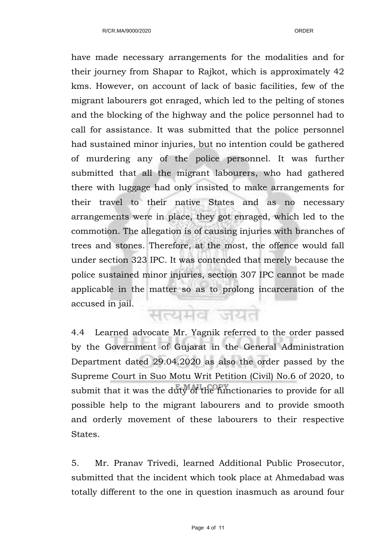have made necessary arrangements for the modalities and for their journey from Shapar to Rajkot, which is approximately 42 kms. However, on account of lack of basic facilities, few of the migrant labourers got enraged, which led to the pelting of stones and the blocking of the highway and the police personnel had to call for assistance. It was submitted that the police personnel had sustained minor injuries, but no intention could be gathered of murdering any of the police personnel. It was further submitted that all the migrant labourers, who had gathered there with luggage had only insisted to make arrangements for their travel to their native States and as no necessary arrangements were in place, they got enraged, which led to the commotion. The allegation is of causing injuries with branches of trees and stones. Therefore, at the most, the offence would fall under section 323 IPC. It was contended that merely because the police sustained minor injuries, section 307 IPC cannot be made applicable in the matter so as to prolong incarceration of the accused in jail.

सत्यमेव जयते

4.4 Learned advocate Mr. Yagnik referred to the order passed by the Government of Gujarat in the General Administration Department dated 29.04.2020 as also the order passed by the Supreme Court in Suo Motu Writ Petition (Civil) No.6 of 2020, to submit that it was the duty of the functionaries to provide for all possible help to the migrant labourers and to provide smooth and orderly movement of these labourers to their respective States.

5. Mr. Pranav Trivedi, learned Additional Public Prosecutor, submitted that the incident which took place at Ahmedabad was totally different to the one in question inasmuch as around four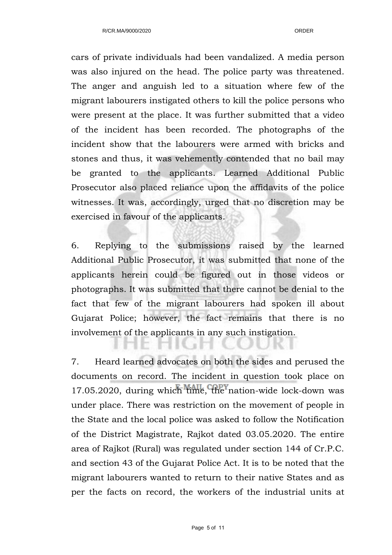cars of private individuals had been vandalized. A media person was also injured on the head. The police party was threatened. The anger and anguish led to a situation where few of the migrant labourers instigated others to kill the police persons who were present at the place. It was further submitted that a video of the incident has been recorded. The photographs of the incident show that the labourers were armed with bricks and stones and thus, it was vehemently contended that no bail may be granted to the applicants. Learned Additional Public Prosecutor also placed reliance upon the affidavits of the police witnesses. It was, accordingly, urged that no discretion may be exercised in favour of the applicants.

6. Replying to the submissions raised by the learned Additional Public Prosecutor, it was submitted that none of the applicants herein could be figured out in those videos or photographs. It was submitted that there cannot be denial to the fact that few of the migrant labourers had spoken ill about Gujarat Police; however, the fact remains that there is no involvement of the applicants in any such instigation.

7. Heard learned advocates on both the sides and perused the documents on record. The incident in question took place on 17.05.2020, during which time, the nation-wide lock-down was under place. There was restriction on the movement of people in the State and the local police was asked to follow the Notification of the District Magistrate, Rajkot dated 03.05.2020. The entire area of Rajkot (Rural) was regulated under section 144 of Cr.P.C. and section 43 of the Gujarat Police Act. It is to be noted that the migrant labourers wanted to return to their native States and as per the facts on record, the workers of the industrial units at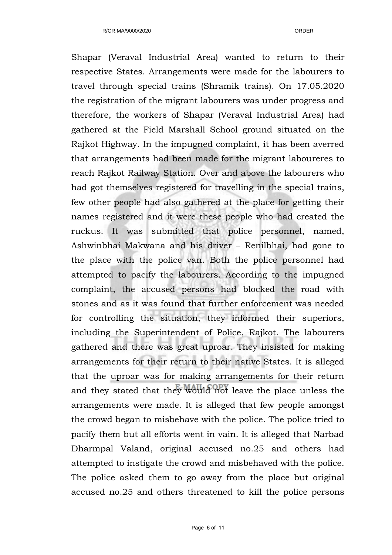Shapar (Veraval Industrial Area) wanted to return to their respective States. Arrangements were made for the labourers to travel through special trains (Shramik trains). On 17.05.2020 the registration of the migrant labourers was under progress and therefore, the workers of Shapar (Veraval Industrial Area) had gathered at the Field Marshall School ground situated on the Rajkot Highway. In the impugned complaint, it has been averred that arrangements had been made for the migrant laboureres to reach Rajkot Railway Station. Over and above the labourers who had got themselves registered for travelling in the special trains, few other people had also gathered at the place for getting their names registered and it were these people who had created the ruckus. It was submitted that police personnel, named, Ashwinbhai Makwana and his driver – Renilbhai, had gone to the place with the police van. Both the police personnel had attempted to pacify the labourers. According to the impugned complaint, the accused persons had blocked the road with stones and as it was found that further enforcement was needed for controlling the situation, they informed their superiors, including the Superintendent of Police, Rajkot. The labourers gathered and there was great uproar. They insisted for making arrangements for their return to their native States. It is alleged that the uproar was for making arrangements for their return and they stated that they would not leave the place unless the arrangements were made. It is alleged that few people amongst the crowd began to misbehave with the police. The police tried to pacify them but all efforts went in vain. It is alleged that Narbad Dharmpal Valand, original accused no.25 and others had attempted to instigate the crowd and misbehaved with the police. The police asked them to go away from the place but original accused no.25 and others threatened to kill the police persons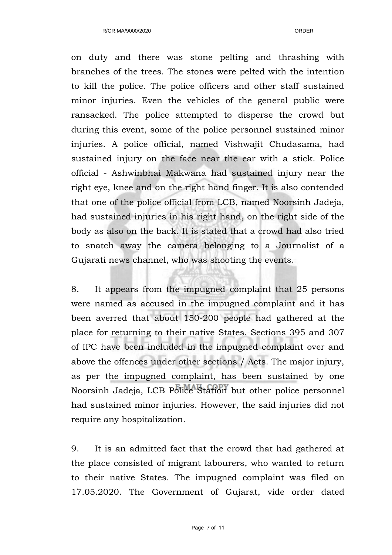on duty and there was stone pelting and thrashing with branches of the trees. The stones were pelted with the intention to kill the police. The police officers and other staff sustained minor injuries. Even the vehicles of the general public were ransacked. The police attempted to disperse the crowd but during this event, some of the police personnel sustained minor injuries. A police official, named Vishwajit Chudasama, had sustained injury on the face near the ear with a stick. Police official - Ashwinbhai Makwana had sustained injury near the right eye, knee and on the right hand finger. It is also contended that one of the police official from LCB, named Noorsinh Jadeja, had sustained injuries in his right hand, on the right side of the body as also on the back. It is stated that a crowd had also tried to snatch away the camera belonging to a Journalist of a Gujarati news channel, who was shooting the events.

8. It appears from the impugned complaint that 25 persons were named as accused in the impugned complaint and it has been averred that about 150-200 people had gathered at the place for returning to their native States. Sections 395 and 307 of IPC have been included in the impugned complaint over and above the offences under other sections / Acts. The major injury, as per the impugned complaint, has been sustained by one Noorsinh Jadeja, LCB Police Station but other police personnel had sustained minor injuries. However, the said injuries did not require any hospitalization.

9. It is an admitted fact that the crowd that had gathered at the place consisted of migrant labourers, who wanted to return to their native States. The impugned complaint was filed on 17.05.2020. The Government of Gujarat, vide order dated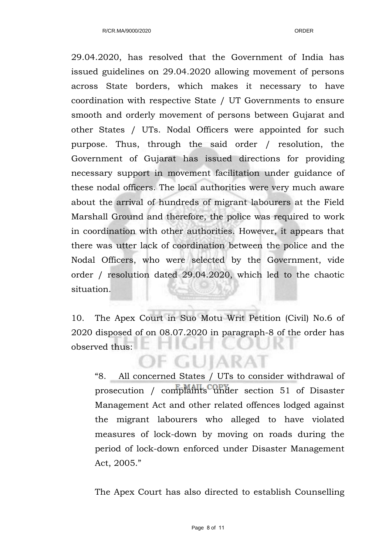29.04.2020, has resolved that the Government of India has issued guidelines on 29.04.2020 allowing movement of persons across State borders, which makes it necessary to have coordination with respective State / UT Governments to ensure smooth and orderly movement of persons between Gujarat and other States / UTs. Nodal Officers were appointed for such purpose. Thus, through the said order / resolution, the Government of Gujarat has issued directions for providing necessary support in movement facilitation under guidance of these nodal officers. The local authorities were very much aware about the arrival of hundreds of migrant labourers at the Field Marshall Ground and therefore, the police was required to work in coordination with other authorities. However, it appears that there was utter lack of coordination between the police and the Nodal Officers, who were selected by the Government, vide order / resolution dated 29.04.2020, which led to the chaotic situation.

10. The Apex Court in Suo Motu Writ Petition (Civil) No.6 of 2020 disposed of on 08.07.2020 in paragraph-8 of the order has observed thus:

**F GUIARAT** 

"8. All concerned States / UTs to consider withdrawal of prosecution / complaints under section 51 of Disaster Management Act and other related offences lodged against the migrant labourers who alleged to have violated measures of lock-down by moving on roads during the period of lock-down enforced under Disaster Management Act, 2005."

The Apex Court has also directed to establish Counselling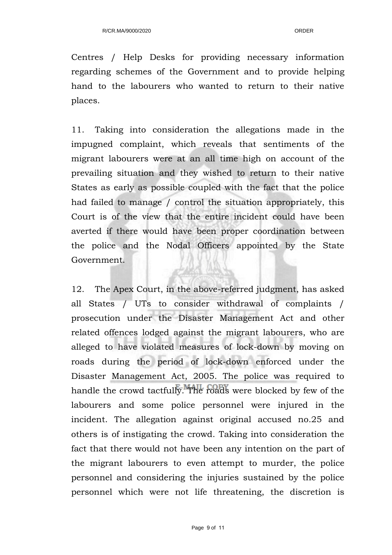Centres / Help Desks for providing necessary information regarding schemes of the Government and to provide helping hand to the labourers who wanted to return to their native places.

11. Taking into consideration the allegations made in the impugned complaint, which reveals that sentiments of the migrant labourers were at an all time high on account of the prevailing situation and they wished to return to their native States as early as possible coupled with the fact that the police had failed to manage / control the situation appropriately, this Court is of the view that the entire incident could have been averted if there would have been proper coordination between the police and the Nodal Officers appointed by the State Government.

12. The Apex Court, in the above-referred judgment, has asked all States / UTs to consider withdrawal of complaints / prosecution under the Disaster Management Act and other related offences lodged against the migrant labourers, who are alleged to have violated measures of lock-down by moving on roads during the period of lock-down enforced under the Disaster Management Act, 2005. The police was required to handle the crowd tactfully. The roads were blocked by few of the labourers and some police personnel were injured in the incident. The allegation against original accused no.25 and others is of instigating the crowd. Taking into consideration the fact that there would not have been any intention on the part of the migrant labourers to even attempt to murder, the police personnel and considering the injuries sustained by the police personnel which were not life threatening, the discretion is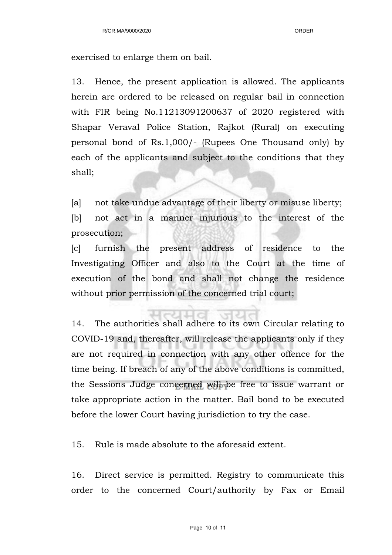exercised to enlarge them on bail.

13. Hence, the present application is allowed. The applicants herein are ordered to be released on regular bail in connection with FIR being No.11213091200637 of 2020 registered with Shapar Veraval Police Station, Rajkot (Rural) on executing personal bond of Rs.1,000/- (Rupees One Thousand only) by each of the applicants and subject to the conditions that they shall;

[a] not take undue advantage of their liberty or misuse liberty; [b] not act in a manner injurious to the interest of the prosecution;

[c] furnish the present address of residence to the Investigating Officer and also to the Court at the time of execution of the bond and shall not change the residence without prior permission of the concerned trial court;

14. The authorities shall adhere to its own Circular relating to COVID-19 and, thereafter, will release the applicants only if they are not required in connection with any other offence for the time being. If breach of any of the above conditions is committed, the Sessions Judge concerned will be free to issue warrant or take appropriate action in the matter. Bail bond to be executed before the lower Court having jurisdiction to try the case.

15. Rule is made absolute to the aforesaid extent.

16. Direct service is permitted. Registry to communicate this order to the concerned Court/authority by Fax or Email